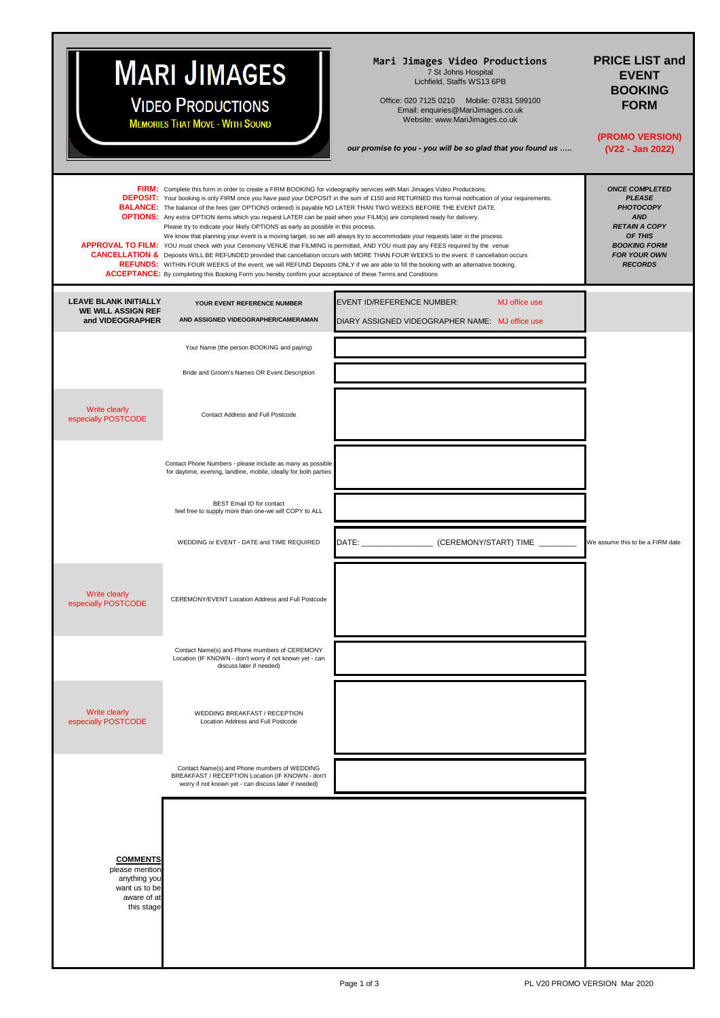## **MARI JIMAGES**

**VIDEO PRODUCTIONS MEMORIES THAT MOVE - WITH SOUND** 

## **Mari Jimages Video Productions**

7 St Johns Hospital Lichfield, Staffs WS13 6PB

Office: 020 7125 0210 Mobile: 07831 599100 Email: enquiries@MariJimages.co.uk Website: www.MariJimages.co.uk

*our promise to you - you will be so glad that you found us …..*

## **PRICE LIST and EVENT BOOKING FORM**

**(PROMO VERSION) (V22 - Jan 2022)**

|                                                                                                 | FIRM: Complete this form in order to create a FIRM BOOKING for videography services with Mari Jimages Video Productions.<br><b>BALANCE:</b> The balance of the fees (per OPTIONS ordered) is payable NO LATER THAN TWO WEEKS BEFORE THE EVENT DATE.<br>OPTIONS: Any extra OPTION items which you request LATER can be paid when your FILM(s) are completed ready for delivery.<br>Please try to indicate your likely OPTIONS as early as possible in this process.<br><b>ACCEPTANCE:</b> By completing this Booking Form you hereby confirm your acceptance of these Terms and Conditions | <b>DEPOSIT:</b> Your booking is only FIRM once you have paid your DEPOSIT in the sum of £150 and RETURNED this formal notification of your requirements.<br>We know that planning your event is a moving target, so we will always try to accommodate your requests later in the process.<br>APPROVAL TO FILM: YOU must check with your Ceremony VENUE that FILMING is permitted, AND YOU must pay any FEES required by the venue<br><b>CANCELLATION &amp;</b> Deposits WILL BE REFUNDED provided that cancellation occurs with MORE THAN FOUR WEEKS to the event. If cancellation occurs<br>REFUNDS: WITHIN FOUR WEEKS of the event, we will REFUND Deposits ONLY if we are able to fill the booking with an alternative booking. | <b>ONCE COMPLETED</b><br><b>PLEASE</b><br><b>PHOTOCOPY</b><br><b>AND</b><br><b>RETAIN A COPY</b><br>OF THIS<br><b>BOOKING FORM</b><br><b>FOR YOUR OWN</b><br><b>RECORDS</b> |
|-------------------------------------------------------------------------------------------------|-------------------------------------------------------------------------------------------------------------------------------------------------------------------------------------------------------------------------------------------------------------------------------------------------------------------------------------------------------------------------------------------------------------------------------------------------------------------------------------------------------------------------------------------------------------------------------------------|------------------------------------------------------------------------------------------------------------------------------------------------------------------------------------------------------------------------------------------------------------------------------------------------------------------------------------------------------------------------------------------------------------------------------------------------------------------------------------------------------------------------------------------------------------------------------------------------------------------------------------------------------------------------------------------------------------------------------------|-----------------------------------------------------------------------------------------------------------------------------------------------------------------------------|
| <b>LEAVE BLANK INITIALLY</b><br><b>WE WILL ASSIGN REF</b><br>and VIDEOGRAPHER                   | YOUR EVENT REFERENCE NUMBER<br>AND ASSIGNED VIDEOGRAPHER/CAMERAMAN                                                                                                                                                                                                                                                                                                                                                                                                                                                                                                                        | EVENT ID/REFERENCE NUMBER:<br><b>MJ</b> office use<br>DIARY ASSIGNED VIDEOGRAPHER NAME: MJ office use                                                                                                                                                                                                                                                                                                                                                                                                                                                                                                                                                                                                                              |                                                                                                                                                                             |
|                                                                                                 | Your Name (the person BOOKING and paying)                                                                                                                                                                                                                                                                                                                                                                                                                                                                                                                                                 |                                                                                                                                                                                                                                                                                                                                                                                                                                                                                                                                                                                                                                                                                                                                    |                                                                                                                                                                             |
|                                                                                                 | Bride and Groom's Names OR Event Description                                                                                                                                                                                                                                                                                                                                                                                                                                                                                                                                              |                                                                                                                                                                                                                                                                                                                                                                                                                                                                                                                                                                                                                                                                                                                                    |                                                                                                                                                                             |
| Write clearly<br>especially POSTCODE                                                            | Contact Address and Full Postcode                                                                                                                                                                                                                                                                                                                                                                                                                                                                                                                                                         |                                                                                                                                                                                                                                                                                                                                                                                                                                                                                                                                                                                                                                                                                                                                    |                                                                                                                                                                             |
|                                                                                                 | Contact Phone Numbers - please include as many as possible<br>for daytime, evening, landline, mobile, ideally for both parties                                                                                                                                                                                                                                                                                                                                                                                                                                                            |                                                                                                                                                                                                                                                                                                                                                                                                                                                                                                                                                                                                                                                                                                                                    |                                                                                                                                                                             |
|                                                                                                 | <b>BEST Email ID for contact</b><br>feel free to supply more than one-we will COPY to ALL                                                                                                                                                                                                                                                                                                                                                                                                                                                                                                 |                                                                                                                                                                                                                                                                                                                                                                                                                                                                                                                                                                                                                                                                                                                                    |                                                                                                                                                                             |
|                                                                                                 | WEDDING or EVENT - DATE and TIME REQUIRED                                                                                                                                                                                                                                                                                                                                                                                                                                                                                                                                                 |                                                                                                                                                                                                                                                                                                                                                                                                                                                                                                                                                                                                                                                                                                                                    | We assume this to be a FIRM date                                                                                                                                            |
| Write clearly<br>especially POSTCODE                                                            | CEREMONY/EVENT Location Address and Full Postcode                                                                                                                                                                                                                                                                                                                                                                                                                                                                                                                                         |                                                                                                                                                                                                                                                                                                                                                                                                                                                                                                                                                                                                                                                                                                                                    |                                                                                                                                                                             |
|                                                                                                 | Contact Name(s) and Phone mumbers of CEREMONY<br>Location (IF KNOWN - don't worry if not known yet - can<br>discuss later if needed)                                                                                                                                                                                                                                                                                                                                                                                                                                                      |                                                                                                                                                                                                                                                                                                                                                                                                                                                                                                                                                                                                                                                                                                                                    |                                                                                                                                                                             |
| Write clearly<br>especially POSTCODE                                                            | WEDDING BREAKFAST / RECEPTION<br>Location Address and Full Postcode                                                                                                                                                                                                                                                                                                                                                                                                                                                                                                                       |                                                                                                                                                                                                                                                                                                                                                                                                                                                                                                                                                                                                                                                                                                                                    |                                                                                                                                                                             |
|                                                                                                 | Contact Name(s) and Phone mumbers of WEDDING<br>BREAKFAST / RECEPTION Location (IF KNOWN - don't<br>worry if not known yet - can discuss later if needed)                                                                                                                                                                                                                                                                                                                                                                                                                                 |                                                                                                                                                                                                                                                                                                                                                                                                                                                                                                                                                                                                                                                                                                                                    |                                                                                                                                                                             |
| <b>COMMENTS</b><br>please mention<br>anything you<br>want us to be<br>aware of at<br>this stage |                                                                                                                                                                                                                                                                                                                                                                                                                                                                                                                                                                                           |                                                                                                                                                                                                                                                                                                                                                                                                                                                                                                                                                                                                                                                                                                                                    |                                                                                                                                                                             |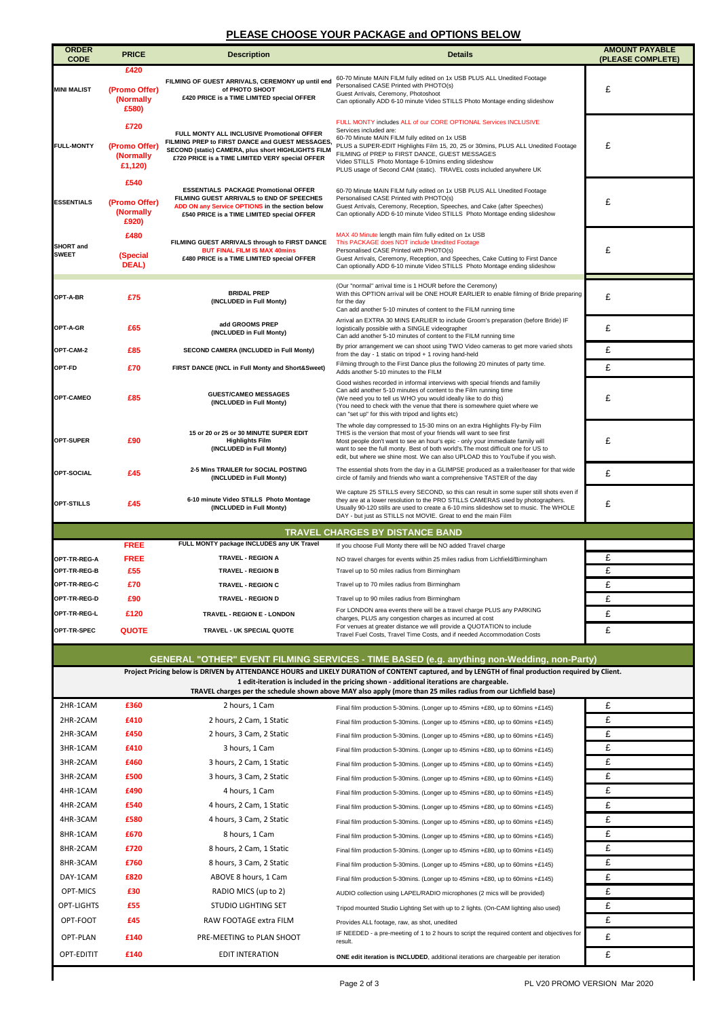## **PLEASE CHOOSE YOUR PACKAGE and OPTIONS BELOW**

| <b>ORDER</b>                                                                                                                                                                                                                                                                                                                                                      | <b>PRICE</b>                                  | <b>Description</b>                                                                                                                                                                                     | <b>Details</b>                                                                                                                                                                                                                                                                                                                                                                                                    | <b>AMOUNT PAYABLE</b> |  |  |
|-------------------------------------------------------------------------------------------------------------------------------------------------------------------------------------------------------------------------------------------------------------------------------------------------------------------------------------------------------------------|-----------------------------------------------|--------------------------------------------------------------------------------------------------------------------------------------------------------------------------------------------------------|-------------------------------------------------------------------------------------------------------------------------------------------------------------------------------------------------------------------------------------------------------------------------------------------------------------------------------------------------------------------------------------------------------------------|-----------------------|--|--|
| <b>CODE</b>                                                                                                                                                                                                                                                                                                                                                       | £420                                          |                                                                                                                                                                                                        |                                                                                                                                                                                                                                                                                                                                                                                                                   | (PLEASE COMPLETE)     |  |  |
| <b>MINI MALIST</b>                                                                                                                                                                                                                                                                                                                                                | (Promo Offer)<br>(Normally<br>£580)           | FILMING OF GUEST ARRIVALS, CEREMONY up until end<br>of PHOTO SHOOT<br>£420 PRICE is a TIME LIMITED special OFFER                                                                                       | 60-70 Minute MAIN FILM fully edited on 1x USB PLUS ALL Unedited Footage<br>Personalised CASE Printed with PHOTO(s)<br>Guest Arrivals, Ceremony, Photoshoot<br>Can optionally ADD 6-10 minute Video STILLS Photo Montage ending slideshow                                                                                                                                                                          | £                     |  |  |
| <b>FULL-MONTY</b>                                                                                                                                                                                                                                                                                                                                                 | £720<br>(Promo Offer)<br>(Normally<br>£1,120) | FULL MONTY ALL INCLUSIVE Promotional OFFER<br>FILMING PREP to FIRST DANCE and GUEST MESSAGES,<br>SECOND (static) CAMERA, plus short HIGHLIGHTS FILM<br>£720 PRICE is a TIME LIMITED VERY special OFFER | FULL MONTY includes ALL of our CORE OPTIONAL Services INCLUSIVE<br>Services included are:<br>60-70 Minute MAIN FILM fully edited on 1x USB<br>PLUS a SUPER-EDIT Highlights Film 15, 20, 25 or 30mins, PLUS ALL Unedited Footage<br>FILMING of PREP to FIRST DANCE, GUEST MESSAGES<br>Video STILLS Photo Montage 6-10mins ending slideshow<br>PLUS usage of Second CAM (static). TRAVEL costs included anywhere UK | £                     |  |  |
| <b>ESSENTIALS</b>                                                                                                                                                                                                                                                                                                                                                 | £540<br>(Promo Offer)<br>(Normally<br>£920)   | <b>ESSENTIALS PACKAGE Promotional OFFER</b><br>FILMING GUEST ARRIVALS to END OF SPEECHES<br>ADD ON any Service OPTIONS in the section below<br>£540 PRICE is a TIME LIMITED special OFFER              | 60-70 Minute MAIN FILM fully edited on 1x USB PLUS ALL Unedited Footage<br>Personalised CASE Printed with PHOTO(s)<br>Guest Arrivals, Ceremony, Reception, Speeches, and Cake (after Speeches)<br>Can optionally ADD 6-10 minute Video STILLS Photo Montage ending slideshow                                                                                                                                      | £                     |  |  |
| <b>SHORT</b> and<br><b>SWEET</b>                                                                                                                                                                                                                                                                                                                                  | £480<br>(Special<br>DEAL)                     | FILMING GUEST ARRIVALS through to FIRST DANCE<br><b>BUT FINAL FILM IS MAX 40mins</b><br>£480 PRICE is a TIME LIMITED special OFFER                                                                     | MAX 40 Minute length main film fully edited on 1x USB<br>This PACKAGE does NOT include Unedited Footage<br>Personalised CASE Printed with PHOTO(s)<br>Guest Arrivals, Ceremony, Reception, and Speeches, Cake Cutting to First Dance<br>Can optionally ADD 6-10 minute Video STILLS Photo Montage ending slideshow                                                                                                | £                     |  |  |
| OPT-A-BR                                                                                                                                                                                                                                                                                                                                                          | £75                                           | <b>BRIDAL PREP</b><br>(INCLUDED in Full Monty)                                                                                                                                                         | (Our "normal" arrival time is 1 HOUR before the Ceremony)<br>With this OPTION arrival will be ONE HOUR EARLIER to enable filming of Bride preparing<br>for the day<br>Can add another 5-10 minutes of content to the FILM running time                                                                                                                                                                            | £                     |  |  |
| OPT-A-GR                                                                                                                                                                                                                                                                                                                                                          | £65                                           | add GROOMS PREP<br>(INCLUDED in Full Monty)                                                                                                                                                            | Arrival an EXTRA 30 MINS EARLIER to include Groom's preparation (before Bride) IF<br>logistically possible with a SINGLE videographer<br>Can add another 5-10 minutes of content to the FILM running time                                                                                                                                                                                                         | £                     |  |  |
| OPT-CAM-2                                                                                                                                                                                                                                                                                                                                                         | £85                                           | SECOND CAMERA (INCLUDED in Full Monty)                                                                                                                                                                 | By prior arrangement we can shoot using TWO Video cameras to get more varied shots<br>from the day - 1 static on tripod + 1 roving hand-held                                                                                                                                                                                                                                                                      | £                     |  |  |
| OPT-FD                                                                                                                                                                                                                                                                                                                                                            | £70                                           | FIRST DANCE (INCL in Full Monty and Short&Sweet)                                                                                                                                                       | Filming through to the First Dance plus the following 20 minutes of party time.<br>Adds another 5-10 minutes to the FILM                                                                                                                                                                                                                                                                                          | £                     |  |  |
| OPT-CAMEO                                                                                                                                                                                                                                                                                                                                                         | £85                                           | <b>GUEST/CAMEO MESSAGES</b><br>(INCLUDED in Full Monty)                                                                                                                                                | Good wishes recorded in informal interviews with special friends and familiy<br>Can add another 5-10 minutes of content to the Film running time<br>(We need you to tell us WHO you would ideally like to do this)<br>(You need to check with the venue that there is somewhere quiet where we<br>can "set up" for this with tripod and lights etc)                                                               | £                     |  |  |
| OPT-SUPER                                                                                                                                                                                                                                                                                                                                                         | £90                                           | 15 or 20 or 25 or 30 MINUTE SUPER EDIT<br><b>Highlights Film</b><br>(INCLUDED in Full Monty)                                                                                                           | The whole day compressed to 15-30 mins on an extra Highlights Fly-by Film<br>THIS is the version that most of your friends will want to see first<br>Most people don't want to see an hour's epic - only your immediate family will<br>want to see the full monty. Best of both world's. The most difficult one for US to<br>edit, but where we shine most. We can also UPLOAD this to YouTube if you wish.       | £                     |  |  |
| OPT-SOCIAL                                                                                                                                                                                                                                                                                                                                                        | £45                                           | 2-5 Mins TRAILER for SOCIAL POSTING<br>(INCLUDED in Full Monty)                                                                                                                                        | The essential shots from the day in a GLIMPSE produced as a trailer/teaser for that wide<br>circle of family and friends who want a comprehensive TASTER of the day                                                                                                                                                                                                                                               | £                     |  |  |
| OPT-STILLS                                                                                                                                                                                                                                                                                                                                                        | £45                                           | 6-10 minute Video STILLS Photo Montage<br>(INCLUDED in Full Monty)                                                                                                                                     | We capture 25 STILLS every SECOND, so this can result in some super still shots even if<br>they are at a lower resolution to the PRO STILLS CAMERAS used by photographers.<br>Usually 90-120 stills are used to create a 6-10 mins slideshow set to music. The WHOLE<br>DAY - but just as STILLS not MOVIE. Great to end the main Film                                                                            | £                     |  |  |
| <b>TRAVEL CHARGES BY DISTANCE BAND</b>                                                                                                                                                                                                                                                                                                                            |                                               |                                                                                                                                                                                                        |                                                                                                                                                                                                                                                                                                                                                                                                                   |                       |  |  |
|                                                                                                                                                                                                                                                                                                                                                                   | <b>FREE</b>                                   | FULL MONTY package INCLUDES any UK Travel                                                                                                                                                              | If you choose Full Monty there will be NO added Travel charge                                                                                                                                                                                                                                                                                                                                                     |                       |  |  |
| OPT-TR-REG-A                                                                                                                                                                                                                                                                                                                                                      | <b>FREE</b>                                   | <b>TRAVEL - REGION A</b>                                                                                                                                                                               | NO travel charges for events within 25 miles radius from Lichfield/Birmingham                                                                                                                                                                                                                                                                                                                                     | £                     |  |  |
| OPT-TR-REG-B                                                                                                                                                                                                                                                                                                                                                      | £55                                           | <b>TRAVEL - REGION B</b>                                                                                                                                                                               | Travel up to 50 miles radius from Birmingham                                                                                                                                                                                                                                                                                                                                                                      | £                     |  |  |
| OPT-TR-REG-C                                                                                                                                                                                                                                                                                                                                                      | £70                                           | <b>TRAVEL - REGION C</b>                                                                                                                                                                               | Travel up to 70 miles radius from Birmingham                                                                                                                                                                                                                                                                                                                                                                      | £                     |  |  |
| OPT-TR-REG-D                                                                                                                                                                                                                                                                                                                                                      | £90                                           | <b>TRAVEL - REGION D</b>                                                                                                                                                                               | Travel up to 90 miles radius from Birmingham                                                                                                                                                                                                                                                                                                                                                                      | £                     |  |  |
| OPT-TR-REG-L                                                                                                                                                                                                                                                                                                                                                      | £120                                          | TRAVEL - REGION E - LONDON                                                                                                                                                                             | For LONDON area events there will be a travel charge PLUS any PARKING<br>charges, PLUS any congestion charges as incurred at cost                                                                                                                                                                                                                                                                                 | £                     |  |  |
| OPT-TR-SPEC                                                                                                                                                                                                                                                                                                                                                       | <b>QUOTE</b>                                  | TRAVEL - UK SPECIAL QUOTE                                                                                                                                                                              | For venues at greater distance we will provide a QUOTATION to include<br>Travel Fuel Costs, Travel Time Costs, and if needed Accommodation Costs                                                                                                                                                                                                                                                                  | £                     |  |  |
|                                                                                                                                                                                                                                                                                                                                                                   |                                               |                                                                                                                                                                                                        |                                                                                                                                                                                                                                                                                                                                                                                                                   |                       |  |  |
|                                                                                                                                                                                                                                                                                                                                                                   |                                               |                                                                                                                                                                                                        | GENERAL "OTHER" EVENT FILMING SERVICES - TIME BASED (e.g. anything non-Wedding, non-Party)                                                                                                                                                                                                                                                                                                                        |                       |  |  |
| Project Pricing below is DRIVEN by ATTENDANCE HOURS and LIKELY DURATION of CONTENT captured, and by LENGTH of final production required by Client.<br>1 edit-iteration is included in the pricing shown - additional iterations are chargeable.<br>TRAVEL charges per the schedule shown above MAY also apply (more than 25 miles radius from our Lichfield base) |                                               |                                                                                                                                                                                                        |                                                                                                                                                                                                                                                                                                                                                                                                                   |                       |  |  |
| 2HR-1CAM                                                                                                                                                                                                                                                                                                                                                          | £360                                          | 2 hours, 1 Cam                                                                                                                                                                                         | Final film production 5-30mins. (Longer up to 45mins +£80, up to 60mins +£145)                                                                                                                                                                                                                                                                                                                                    | £                     |  |  |
| 2HR-2CAM                                                                                                                                                                                                                                                                                                                                                          | £410                                          | 2 hours, 2 Cam, 1 Static                                                                                                                                                                               | Final film production 5-30mins. (Longer up to 45mins +£80, up to 60mins +£145)                                                                                                                                                                                                                                                                                                                                    | £                     |  |  |
| 2HR-3CAM                                                                                                                                                                                                                                                                                                                                                          | £450                                          | 2 hours, 3 Cam, 2 Static                                                                                                                                                                               | Final film production 5-30mins. (Longer up to 45mins +£80, up to 60mins +£145)                                                                                                                                                                                                                                                                                                                                    | £                     |  |  |
| 3HR-1CAM                                                                                                                                                                                                                                                                                                                                                          | £410                                          | 3 hours, 1 Cam                                                                                                                                                                                         | Final film production 5-30mins. (Longer up to 45mins +£80, up to 60mins +£145)                                                                                                                                                                                                                                                                                                                                    | £                     |  |  |
| 3HR-2CAM                                                                                                                                                                                                                                                                                                                                                          | £460                                          | 3 hours, 2 Cam, 1 Static                                                                                                                                                                               | Final film production 5-30mins. (Longer up to 45mins +£80, up to 60mins +£145)                                                                                                                                                                                                                                                                                                                                    | £                     |  |  |
| 3HR-2CAM                                                                                                                                                                                                                                                                                                                                                          | £500                                          | 3 hours, 3 Cam, 2 Static                                                                                                                                                                               | Final film production 5-30mins. (Longer up to 45mins +£80, up to 60mins +£145)                                                                                                                                                                                                                                                                                                                                    | £                     |  |  |
| 4HR-1CAM                                                                                                                                                                                                                                                                                                                                                          | £490                                          | 4 hours, 1 Cam                                                                                                                                                                                         | Final film production 5-30mins. (Longer up to 45mins +£80, up to 60mins +£145)                                                                                                                                                                                                                                                                                                                                    | £                     |  |  |
| 4HR-2CAM                                                                                                                                                                                                                                                                                                                                                          | £540                                          | 4 hours, 2 Cam, 1 Static                                                                                                                                                                               | Final film production 5-30mins. (Longer up to 45mins +£80, up to 60mins +£145)                                                                                                                                                                                                                                                                                                                                    | £                     |  |  |
| 4HR-3CAM                                                                                                                                                                                                                                                                                                                                                          | £580                                          | 4 hours, 3 Cam, 2 Static                                                                                                                                                                               | Final film production 5-30mins. (Longer up to 45mins +£80, up to 60mins +£145)                                                                                                                                                                                                                                                                                                                                    | £                     |  |  |
| 8HR-1CAM                                                                                                                                                                                                                                                                                                                                                          | £670                                          | 8 hours, 1 Cam                                                                                                                                                                                         | Final film production 5-30mins. (Longer up to 45mins +£80, up to 60mins +£145)                                                                                                                                                                                                                                                                                                                                    | £                     |  |  |
| 8HR-2CAM                                                                                                                                                                                                                                                                                                                                                          | £720                                          | 8 hours, 2 Cam, 1 Static                                                                                                                                                                               | Final film production 5-30mins. (Longer up to 45mins +£80, up to 60mins +£145)                                                                                                                                                                                                                                                                                                                                    | £                     |  |  |
| 8HR-3CAM                                                                                                                                                                                                                                                                                                                                                          | £760                                          | 8 hours, 3 Cam, 2 Static                                                                                                                                                                               | Final film production 5-30mins. (Longer up to 45mins +£80, up to 60mins +£145)                                                                                                                                                                                                                                                                                                                                    | £                     |  |  |
| DAY-1CAM                                                                                                                                                                                                                                                                                                                                                          | £820                                          | ABOVE 8 hours, 1 Cam                                                                                                                                                                                   | Final film production 5-30mins. (Longer up to 45mins +£80, up to 60mins +£145)                                                                                                                                                                                                                                                                                                                                    | £                     |  |  |
| OPT-MICS                                                                                                                                                                                                                                                                                                                                                          | £30                                           | RADIO MICS (up to 2)                                                                                                                                                                                   | AUDIO collection using LAPEL/RADIO microphones (2 mics will be provided)                                                                                                                                                                                                                                                                                                                                          | £                     |  |  |
| OPT-LIGHTS                                                                                                                                                                                                                                                                                                                                                        | £55                                           | <b>STUDIO LIGHTING SET</b>                                                                                                                                                                             | Tripod mounted Studio Lighting Set with up to 2 lights. (On-CAM lighting also used)                                                                                                                                                                                                                                                                                                                               | £                     |  |  |
| OPT-FOOT                                                                                                                                                                                                                                                                                                                                                          | £45                                           | RAW FOOTAGE extra FILM                                                                                                                                                                                 | Provides ALL footage, raw, as shot, unedited                                                                                                                                                                                                                                                                                                                                                                      | £                     |  |  |
| OPT-PLAN                                                                                                                                                                                                                                                                                                                                                          | £140                                          | PRE-MEETING to PLAN SHOOT                                                                                                                                                                              | IF NEEDED - a pre-meeting of 1 to 2 hours to script the required content and objectives for<br>result.                                                                                                                                                                                                                                                                                                            | £                     |  |  |
| OPT-EDITIT                                                                                                                                                                                                                                                                                                                                                        | £140                                          | <b>EDIT INTERATION</b>                                                                                                                                                                                 | ONE edit iteration is INCLUDED, additional iterations are chargeable per iteration                                                                                                                                                                                                                                                                                                                                | £                     |  |  |